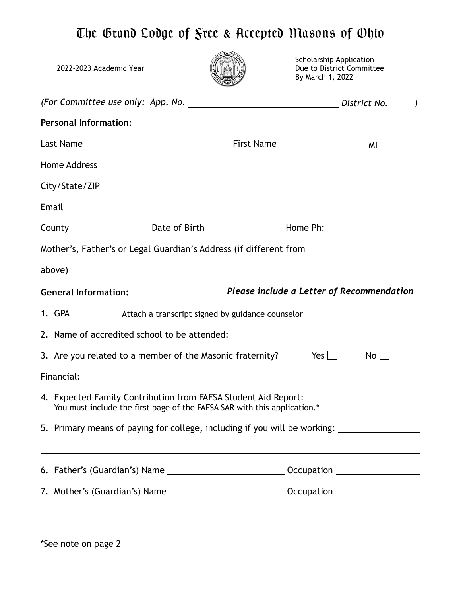## The Grand Lodge of Free & Accepted Masons of Ohio

| 2022-2023 Academic Year                                                                                                                                                                                                        |                                                                                  | <b>Scholarship Application</b><br>By March 1, 2022 | Due to District Committee |
|--------------------------------------------------------------------------------------------------------------------------------------------------------------------------------------------------------------------------------|----------------------------------------------------------------------------------|----------------------------------------------------|---------------------------|
|                                                                                                                                                                                                                                |                                                                                  |                                                    |                           |
| <b>Personal Information:</b>                                                                                                                                                                                                   |                                                                                  |                                                    |                           |
|                                                                                                                                                                                                                                |                                                                                  |                                                    |                           |
| Home Address experience and the set of the set of the set of the set of the set of the set of the set of the set of the set of the set of the set of the set of the set of the set of the set of the set of the set of the set |                                                                                  |                                                    |                           |
|                                                                                                                                                                                                                                |                                                                                  |                                                    |                           |
|                                                                                                                                                                                                                                |                                                                                  |                                                    |                           |
|                                                                                                                                                                                                                                |                                                                                  |                                                    |                           |
| Mother's, Father's or Legal Guardian's Address (if different from                                                                                                                                                              |                                                                                  |                                                    |                           |
| above) above a substitution of the state of the state of the state of the state of the state of the state of the state of the state of the state of the state of the state of the state of the state of the state of the state |                                                                                  |                                                    |                           |
| <b>General Information:</b>                                                                                                                                                                                                    |                                                                                  | Please include a Letter of Recommendation          |                           |
| 1. GPA ________________Attach a transcript signed by guidance counselor ____________________________                                                                                                                           |                                                                                  |                                                    |                           |
|                                                                                                                                                                                                                                |                                                                                  |                                                    |                           |
| 3. Are you related to a member of the Masonic fraternity? $Yes$ $\Box$                                                                                                                                                         |                                                                                  |                                                    | $No$                      |
|                                                                                                                                                                                                                                |                                                                                  |                                                    |                           |
| Financial:                                                                                                                                                                                                                     |                                                                                  |                                                    |                           |
| 4. Expected Family Contribution from FAFSA Student Aid Report:                                                                                                                                                                 | You must include the first page of the FAFSA SAR with this application.*         |                                                    |                           |
| 5. Primary means of paying for college, including if you will be working:                                                                                                                                                      |                                                                                  |                                                    |                           |
|                                                                                                                                                                                                                                | ,我们也不会有什么。""我们的人,我们也不会有什么?""我们的人,我们也不会有什么?""我们的人,我们也不会有什么?""我们的人,我们也不会有什么?""我们的人 |                                                    |                           |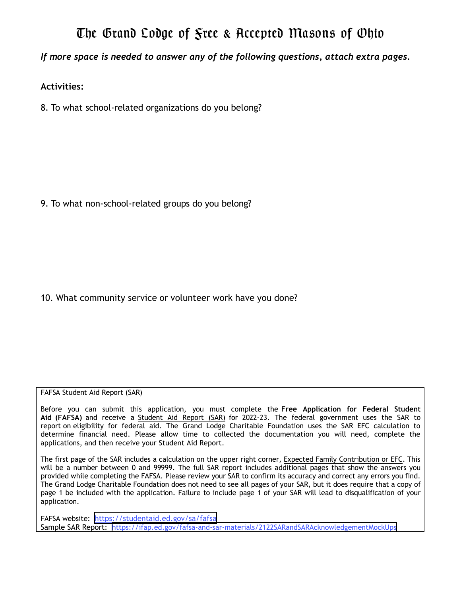## The Grand Lodge of Free & Accepted Masons of Ohio

*If more space is needed to answer any of the following questions, attach extra pages.* 

## **Activities:**

8. To what school-related organizations do you belong?

9. To what non-school-related groups do you belong?

10. What community service or volunteer work have you done?

FAFSA Student Aid Report (SAR)

Before you can submit this application, you must complete the **Free Application for Federal Student Aid (FAFSA)** and receive a Student Aid Report (SAR) for 2022-23. The federal government uses the SAR to report on eligibility for federal aid. The Grand Lodge Charitable Foundation uses the SAR EFC calculation to determine financial need. Please allow time to collected the documentation you will need, complete the applications, and then receive your Student Aid Report.

The first page of the SAR includes a calculation on the upper right corner, Expected Family Contribution or EFC. This will be a number between 0 and 99999. The full SAR report includes additional pages that show the answers you provided while completing the FAFSA. Please review your SAR to confirm its accuracy and correct any errors you find. The Grand Lodge Charitable Foundation does not need to see all pages of your SAR, but it does require that a copy of page 1 be included with the application. Failure to include page 1 of your SAR will lead to disqualification of your application.

FAFSA website: https://studentaid.ed.gov/sa/fafsa Sample SAR Report: https://ifap.ed.gov/fafsa-and-sar-materials/2122SARandSARAcknowledgementMockUps